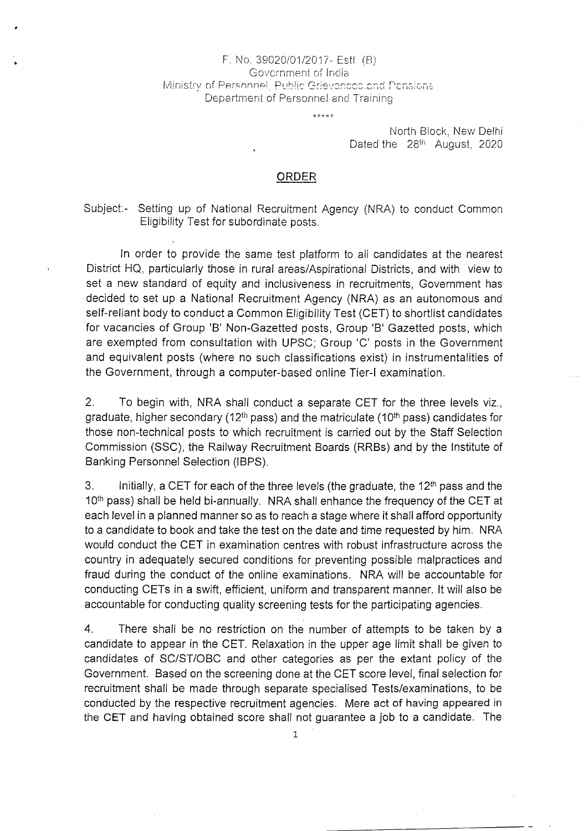## F. No. 39020/01/2017- Estt. (B) Government of India Ministry of Personnel, Public Grievances.and Pensions Department of Personnel and Training

بالولولولو

North Block, New Delhi Dated the 28<sup>th</sup> August, 2020

## ORDER

Subject:- Setting up of National Recruitment Agency (NRA) to conduct Common Eligibility Test for subordinate posts.

In order to provide the same test platform to all candidates at the nearest District HQ, particularly those in rural areas/Aspirational Districts, and with view to set a new standard of equity and inclusiveness in recruitments, Government has decided to set up a National Recruitment Agency (NRA) as an autonomous and self-reliant body to conduct a Common Eligibility Test (CET) to shortlist candidates for vacancies of Group 'B' Non-Gazetted posts, Group 'B' Gazetted posts, which are exempted from consultation with UPSC; Group 'C' posts in the Government and equivalent posts (where no such classifications exist) in instrumentalities of the Government, through a computer-based online Tier-I examination.

2. To begin with, NRA shall conduct a separate CET for the three levels viz., graduate, higher secondary (12<sup>th</sup> pass) and the matriculate (10<sup>th</sup> pass) candidates for those non-technical posts to which recruitment is carried out by the Staff Selection Commission (SSC), the Railway Recruitment Boards (RRBs) and, by the Institute of Banking Personnel Selection (1BPS).

3. Initially, a CET for each of the three levels (the graduate, the  $12<sup>th</sup>$  pass and the 10<sup>th</sup> pass) shall be held bi-annually. NRA shall enhance the frequency of the CET at each level in a planned manner so as to reach a stage where it shall afford opportunity to a candidate to book and take the test on the date and time requested by him. NRA would conduct the CET in examination centres with robust infrastructure across the country in adequately secured conditions for preventing possible malpractices and fraud during the conduct of the online examinations. NRA will be accountable for conducting CETs in a swift, efficient, uniform and transparent manner. It will also be accountable for conducting quality screening tests for the participating agencies.

4. There shall be no restriction on the number of attempts to be taken by a candidate to appear in the CET. Relaxation in the upper age limit shall be given to candidates of SC/ST/OBC and other categories as per the extant policy of the Government. Based on the screening done at the CET score level, final selection for recruitment shall be made through separate specialised Tests/examinations, to be conducted by the respective recruitment agencies. Mere act of having appeared in the GET and having obtained score shall not guarantee a job to a candidate. The

1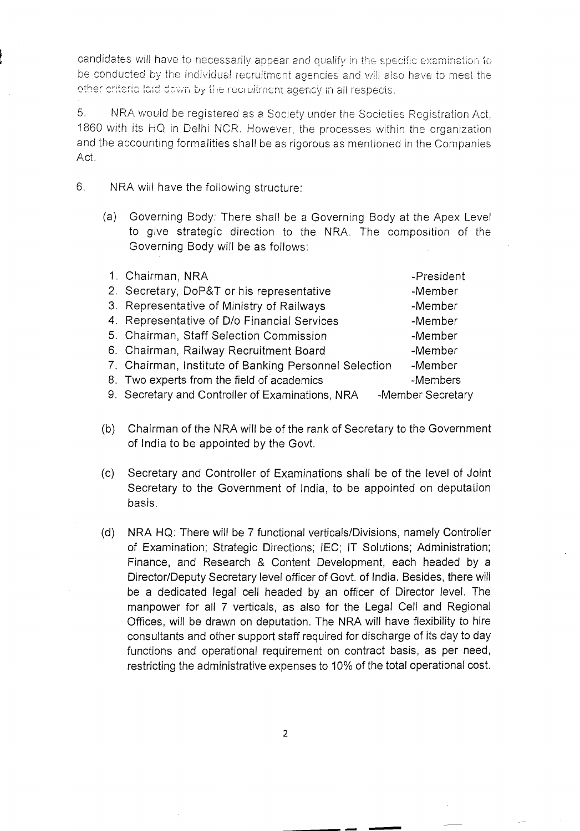candidates will have to necessarily appear and qualify in the specific examination to be conducted by the individual recruitment agencies and will also have to meet the other criteria laid down by the recruitment agency in all respects.

5. NRA would be registered as a Society under the Societies Registration Act, 1860 with its HO. in Delhi NCR. However, the processes within the organization and the accounting formalities shall be as rigorous as mentioned in the Companies Act.

- 6. NRA will have the following structure:
	- (a) Governing Body: There shall be a Governing Body at the Apex Level to give strategic direction to the NRA. The composition of the Governing Body will be as follows:

| 1. Chairman, NRA                                      | -President        |
|-------------------------------------------------------|-------------------|
| 2. Secretary, DoP&T or his representative             | -Member           |
| 3. Representative of Ministry of Railways             | -Member           |
| 4. Representative of D/o Financial Services           | -Member           |
| 5. Chairman, Staff Selection Commission               | -Member           |
| 6. Chairman, Railway Recruitment Board                | -Member           |
| 7. Chairman, Institute of Banking Personnel Selection | -Member           |
| 8. Two experts from the field of academics            | -Members          |
| 9. Secretary and Controller of Examinations, NRA      | -Member Secretary |

- (b) Chairman of the NRA will be of the rank of Secretary to the Government of India to be appointed by the Govt.
- (C) Secretary and Controller of Examinations shall be of the level of Joint Secretary to the Government of India, to be appointed on deputation basis.
- (d) NRA HQ: There will be 7 functional verticals/Divisions, namely Controller of Examination; Strategic Directions; lEC; IT Solutions; Administration; Finance, and Research & Content Development, each headed by a Director/Deputy Secretary level officer of Govt. of India. Besides, there will be a dedicated legal cell headed by an officer of Director level. The manpower for all 7 verticals, as also for the Legal Cell and Regional Offices, will be drawn on deputation. The NRA will have flexibility to hire consultants and other support staff required for discharge of its day to day functions and operational requirement on contract basis, as per need, restricting the administrative expenses to 10% of the total operational cost.